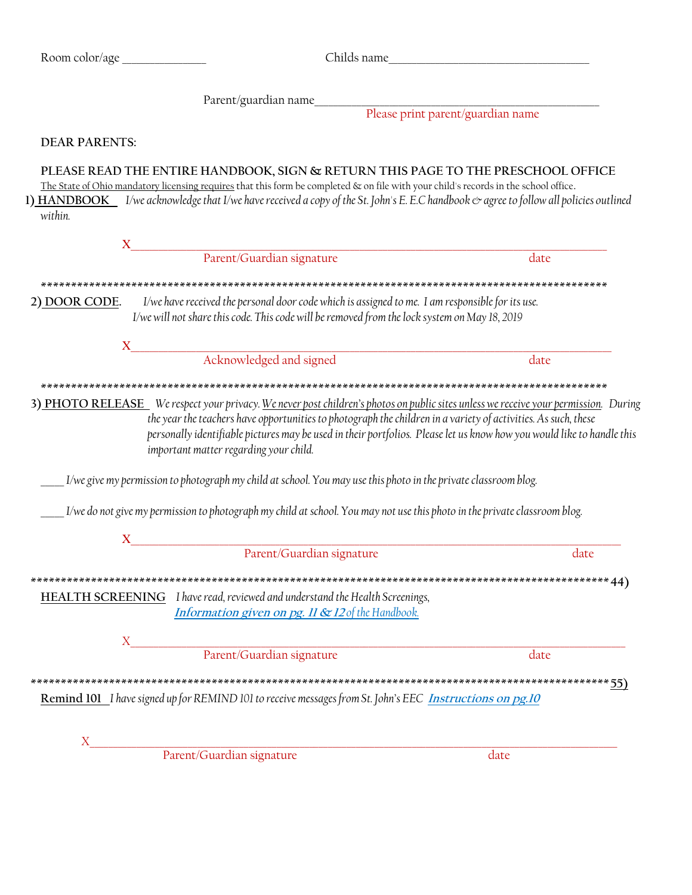|                           |                                                                                                                                                                                                                                                                                                                                                                                                                           | Childs name |
|---------------------------|---------------------------------------------------------------------------------------------------------------------------------------------------------------------------------------------------------------------------------------------------------------------------------------------------------------------------------------------------------------------------------------------------------------------------|-------------|
|                           |                                                                                                                                                                                                                                                                                                                                                                                                                           |             |
|                           |                                                                                                                                                                                                                                                                                                                                                                                                                           |             |
| <b>DEAR PARENTS:</b>      |                                                                                                                                                                                                                                                                                                                                                                                                                           |             |
| within.                   | PLEASE READ THE ENTIRE HANDBOOK, SIGN & RETURN THIS PAGE TO THE PRESCHOOL OFFICE<br>The State of Ohio mandatory licensing requires that this form be completed & on file with your child's records in the school office.<br>1) HANDBOOK Veacknowledge that I/we have received a copy of the St. John's E. E.C handbook & agree to follow all policies outlined                                                            |             |
|                           | $\begin{minipage}{0.9\linewidth} \begin{tabular}{l} \bf{X} \end{tabular} \end{minipage}$ $\begin{tabular}{l} \bf{Parent/Guardian signature \\ \end{tabular}$                                                                                                                                                                                                                                                              |             |
|                           |                                                                                                                                                                                                                                                                                                                                                                                                                           | date        |
| 2) DOOR CODE.             | I/we have received the personal door code which is assigned to me. I am responsible for its use.<br>I/we will not share this code. This code will be removed from the lock system on May 18, 2019                                                                                                                                                                                                                         |             |
|                           | Acknowledged and signed                                                                                                                                                                                                                                                                                                                                                                                                   | date        |
|                           | 3) PHOTO RELEASE We respect your privacy. We never post children's photos on public sites unless we receive your permission. During<br>the year the teachers have opportunities to photograph the children in a variety of activities. As such, these<br>personally identifiable pictures may be used in their portfolios. Please let us know how you would like to handle this<br>important matter regarding your child. |             |
|                           | I/we give my permission to photograph my child at school. You may use this photo in the private classroom blog.                                                                                                                                                                                                                                                                                                           |             |
|                           | I/we do not give my permission to photograph my child at school. You may not use this photo in the private classroom blog.                                                                                                                                                                                                                                                                                                |             |
| $\boldsymbol{\mathrm{X}}$ |                                                                                                                                                                                                                                                                                                                                                                                                                           |             |
|                           | Parent/Guardian signature                                                                                                                                                                                                                                                                                                                                                                                                 | date        |
|                           | <b>HEALTH SCREENING</b> I have read, reviewed and understand the Health Screenings,<br><b>Information given on pg. 11 &amp; 12 of the Handbook.</b>                                                                                                                                                                                                                                                                       |             |
| $X_{-}$                   |                                                                                                                                                                                                                                                                                                                                                                                                                           |             |
|                           | <b>Example 1</b><br>Parent/Guardian signature                                                                                                                                                                                                                                                                                                                                                                             | date        |
|                           | Remind 101 I have signed up for REMIND 101 to receive messages from St. John's EEC Instructions on pg.10                                                                                                                                                                                                                                                                                                                  |             |
| $X \sim$                  |                                                                                                                                                                                                                                                                                                                                                                                                                           |             |
|                           | Parent/Guardian signature                                                                                                                                                                                                                                                                                                                                                                                                 | date        |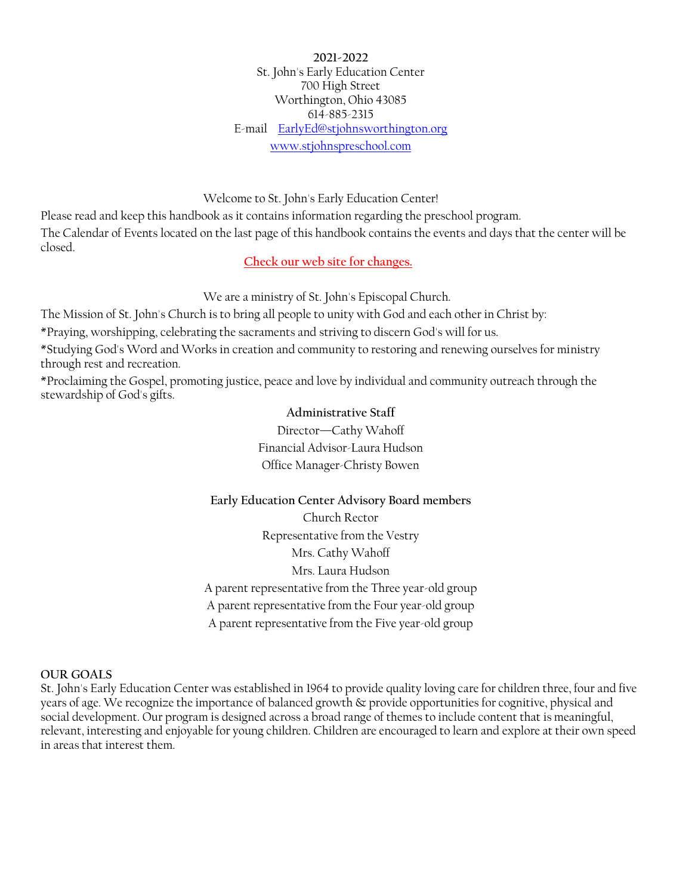**2021-2022** St. John's Early Education Center 700 High Street Worthington, Ohio 43085 614-885-2315 E-mail [EarlyEd@stjohnsworthington.org](mailto:EarlyEd@stjohnsworthington.org)  [www.stjohnspreschool.com](http://www.stjohnspreschool.com/)

Welcome to St. John's Early Education Center!

Please read and keep this handbook as it contains information regarding the preschool program. The Calendar of Events located on the last page of this handbook contains the events and days that the center will be closed.

**Check our web site for changes.**

We are a ministry of St. John's Episcopal Church.

The Mission of St. John's Church is to bring all people to unity with God and each other in Christ by:

\*Praying, worshipping, celebrating the sacraments and striving to discern God's will for us.

\*Studying God's Word and Works in creation and community to restoring and renewing ourselves for ministry through rest and recreation.

\*Proclaiming the Gospel, promoting justice, peace and love by individual and community outreach through the stewardship of God's gifts.

## **Administrative Staff**

Director—Cathy Wahoff Financial Advisor-Laura Hudson Office Manager-Christy Bowen

## **Early Education Center Advisory Board members** Church Rector Representative from the Vestry

Mrs. Cathy Wahoff Mrs. Laura Hudson A parent representative from the Three year-old group A parent representative from the Four year-old group A parent representative from the Five year-old group

## **OUR GOALS**

St. John's Early Education Center was established in 1964 to provide quality loving care for children three, four and five years of age. We recognize the importance of balanced growth & provide opportunities for cognitive, physical and social development. Our program is designed across a broad range of themes to include content that is meaningful, relevant, interesting and enjoyable for young children. Children are encouraged to learn and explore at their own speed in areas that interest them.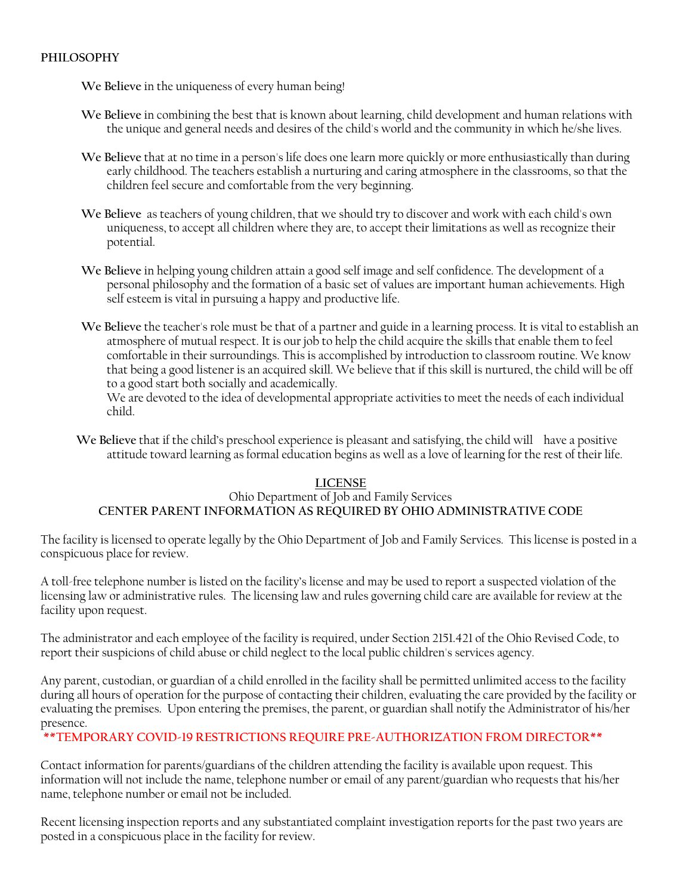## **PHILOSOPHY**

**We Believe** in the uniqueness of every human being!

- **We Believe** in combining the best that is known about learning, child development and human relations with the unique and general needs and desires of the child's world and the community in which he/she lives.
- **We Believe** that at no time in a person's life does one learn more quickly or more enthusiastically than during early childhood. The teachers establish a nurturing and caring atmosphere in the classrooms, so that the children feel secure and comfortable from the very beginning.
- **We Believe** as teachers of young children, that we should try to discover and work with each child's own uniqueness, to accept all children where they are, to accept their limitations as well as recognize their potential.
- We Believe in helping young children attain a good self image and self confidence. The development of a personal philosophy and the formation of a basic set of values are important human achievements. High self esteem is vital in pursuing a happy and productive life.
- **We Believe** the teacher's role must be that of a partner and guide in a learning process. It is vital to establish an atmosphere of mutual respect. It is our job to help the child acquire the skills that enable them to feel comfortable in their surroundings. This is accomplished by introduction to classroom routine. We know that being a good listener is an acquired skill. We believe that if this skill is nurtured, the child will be off to a good start both socially and academically.

We are devoted to the idea of developmental appropriate activities to meet the needs of each individual child.

**We Believe** that if the child's preschool experience is pleasant and satisfying, the child will have a positive attitude toward learning as formal education begins as well as a love of learning for the rest of their life.

## **LICENSE**

## Ohio Department of Job and Family Services **CENTER PARENT INFORMATION AS REQUIRED BY OHIO ADMINISTRATIVE CODE**

The facility is licensed to operate legally by the Ohio Department of Job and Family Services. This license is posted in a conspicuous place for review.

A toll-free telephone number is listed on the facility's license and may be used to report a suspected violation of the licensing law or administrative rules. The licensing law and rules governing child care are available for review at the facility upon request.

The administrator and each employee of the facility is required, under Section 2151.421 of the Ohio Revised Code, to report their suspicions of child abuse or child neglect to the local public children's services agency.

Any parent, custodian, or guardian of a child enrolled in the facility shall be permitted unlimited access to the facility during all hours of operation for the purpose of contacting their children, evaluating the care provided by the facility or evaluating the premises. Upon entering the premises, the parent, or guardian shall notify the Administrator of his/her presence.

## **\*\*TEMPORARY COVID-19 RESTRICTIONS REQUIRE PRE-AUTHORIZATION FROM DIRECTOR\*\***

Contact information for parents/guardians of the children attending the facility is available upon request. This information will not include the name, telephone number or email of any parent/guardian who requests that his/her name, telephone number or email not be included.

Recent licensing inspection reports and any substantiated complaint investigation reports for the past two years are posted in a conspicuous place in the facility for review.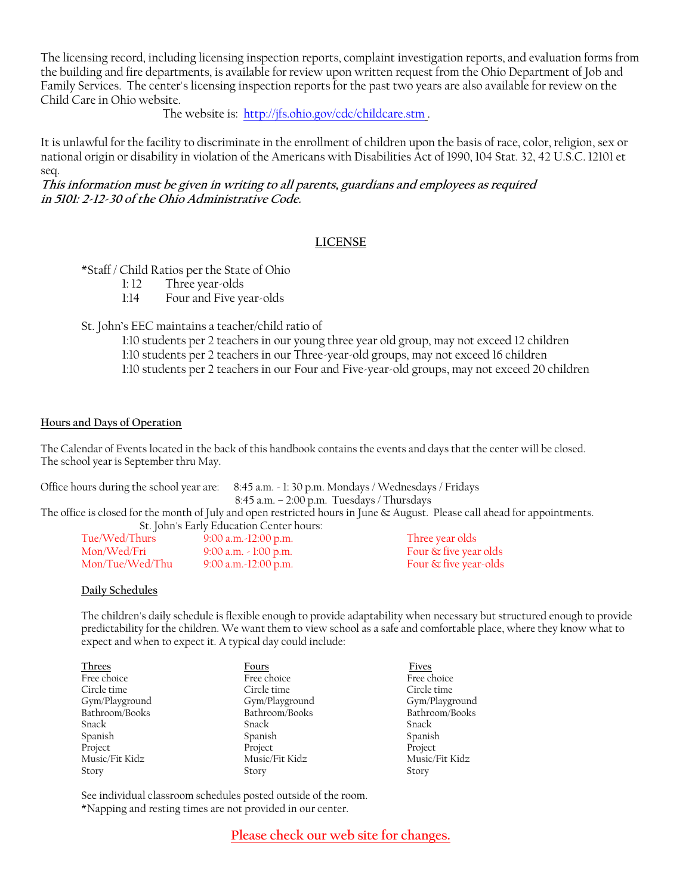The licensing record, including licensing inspection reports, complaint investigation reports, and evaluation forms from the building and fire departments, is available for review upon written request from the Ohio Department of Job and Family Services. The center's licensing inspection reports for the past two years are also available for review on the Child Care in Ohio website.

The website is:<http://jfs.ohio.gov/cdc/childcare.stm> .

It is unlawful for the facility to discriminate in the enrollment of children upon the basis of race, color, religion, sex or national origin or disability in violation of the Americans with Disabilities Act of 1990, 104 Stat. 32, 42 U.S.C. 12101 et seq.

**This information must be given in writing to all parents, guardians and employees as required in 5101: 2-12-30 of the Ohio Administrative Code.**

## **LICENSE**

## \*Staff / Child Ratios per the State of Ohio

- 1: 12 Three year-olds
- 1:14 Four and Five year-olds

St. John's EEC maintains a teacher/child ratio of

- 1:10 students per 2 teachers in our young three year old group, may not exceed 12 children
- 1:10 students per 2 teachers in our Three-year-old groups, may not exceed 16 children
- 1:10 students per 2 teachers in our Four and Five-year-old groups, may not exceed 20 children

#### **Hours and Days of Operation**

The Calendar of Events located in the back of this handbook contains the events and days that the center will be closed. The school year is September thru May.

Office hours during the school year are: 8:45 a.m. - 1: 30 p.m. Mondays / Wednesdays / Fridays  $8:45$  a.m.  $-2:00$  p.m. Tuesdays / Thursdays

The office is closed for the month of July and open restricted hours in June & August. Please call ahead for appointments. St. John's Early Education Center hours:

| Tue/Wed/Thurs   | 9:00 a.m. -12:00 p.m.      | Three year olds          |
|-----------------|----------------------------|--------------------------|
| Mon/Wed/Fri     | 9:00 a.m. $\sim$ 1:00 p.m. | Four $\&$ five year olds |
| Mon/Tue/Wed/Thu | $9:00$ a.m. -12:00 p.m.    | Four & five year-olds    |

#### **Daily Schedules**

The children's daily schedule is flexible enough to provide adaptability when necessary but structured enough to provide predictability for the children. We want them to view school as a safe and comfortable place, where they know what to expect and when to expect it. A typical day could include:

| <b>Threes</b>  | Fours          | Fives          |
|----------------|----------------|----------------|
| Free choice    | Free choice    | Free choice    |
| Circle time    | Circle time    | Circle time    |
| Gym/Playground | Gym/Playground | Gym/Playground |
| Bathroom/Books | Bathroom/Books | Bathroom/Books |
| Snack          | Snack          | Snack          |
| Spanish        | Spanish        | Spanish        |
| Project        | Project        | Project        |
| Music/Fit Kidz | Music/Fit Kidz | Music/Fit Kidz |
| Story          | Story          | Story          |

See individual classroom schedules posted outside of the room. \*Napping and resting times are not provided in our center.

**Please check our web site for changes.**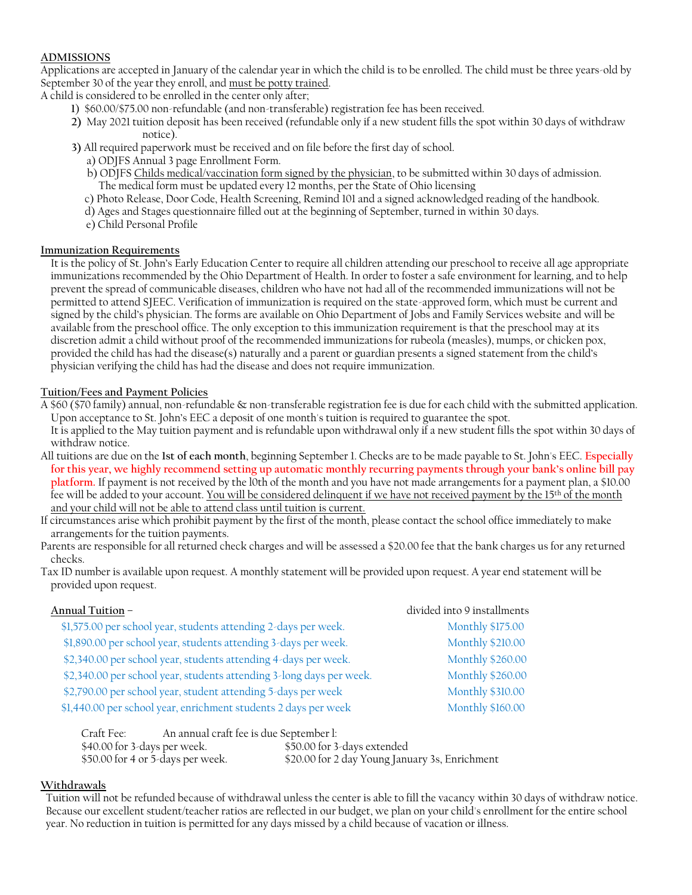## **ADMISSIONS**

Applications are accepted in January of the calendar year in which the child is to be enrolled. The child must be three years-old by September 30 of the year they enroll, and must be potty trained.

A child is considered to be enrolled in the center only after;

- **1**) \$60.00/\$75.00 non-refundable (and non-transferable) registration fee has been received.
- **2)** May 2021 tuition deposit has been received (refundable only if a new student fills the spot within 30 days of withdraw notice).
- **3)** All required paperwork must be received and on file before the first day of school.
	- a) ODJFS Annual 3 page Enrollment Form.
	- b) ODJFS Childs medical/vaccination form signed by the physician, to be submitted within 30 days of admission. The medical form must be updated every 12 months, per the State of Ohio licensing
	- c) Photo Release, Door Code, Health Screening, Remind 101 and a signed acknowledged reading of the handbook.
	- d) Ages and Stages questionnaire filled out at the beginning of September, turned in within 30 days.
	- e) Child Personal Profile

#### **Immunization Requirements**

It is the policy of St. John's Early Education Center to require all children attending our preschool to receive all age appropriate immunizations recommended by the Ohio Department of Health. In order to foster a safe environment for learning, and to help prevent the spread of communicable diseases, children who have not had all of the recommended immunizations will not be permitted to attend SJEEC. Verification of immunization is required on the state-approved form, which must be current and signed by the child's physician. The forms are available on Ohio Department of Jobs and Family Services website and will be available from the preschool office. The only exception to this immunization requirement is that the preschool may at its discretion admit a child without proof of the recommended immunizations for rubeola (measles), mumps, or chicken pox, provided the child has had the disease(s) naturally and a parent or guardian presents a signed statement from the child's physician verifying the child has had the disease and does not require immunization.

## **Tuition/Fees and Payment Policies**

A \$60 (\$70 family) annual, non-refundable & non-transferable registration fee is due for each child with the submitted application. Upon acceptance to St. John's EEC a deposit of one month's tuition is required to guarantee the spot.

It is applied to the May tuition payment and is refundable upon withdrawal only if a new student fills the spot within 30 days of withdraw notice.

- All tuitions are due on the **1st of each month**, beginning September 1. Checks are to be made payable to St. John's EEC. **Especially for this year, we highly recommend setting up automatic monthly recurring payments through your bank's online bill pay platform.** If payment is not received by the l0th of the month and you have not made arrangements for a payment plan, a \$10.00 fee will be added to your account. You will be considered delinquent if we have not received payment by the 15<sup>th</sup> of the month and your child will not be able to attend class until tuition is current.
- If circumstances arise which prohibit payment by the first of the month, please contact the school office immediately to make arrangements for the tuition payments.
- Parents are responsible for all returned check charges and will be assessed a \$20.00 fee that the bank charges us for any returned checks.
- Tax ID number is available upon request. A monthly statement will be provided upon request. A year end statement will be provided upon request.

| Annual Tuition –                                                     | divided into 9 installments |
|----------------------------------------------------------------------|-----------------------------|
| \$1,575.00 per school year, students attending 2-days per week.      | <b>Monthly \$175.00</b>     |
| \$1,890.00 per school year, students attending 3-days per week.      | <b>Monthly \$210.00</b>     |
| \$2,340.00 per school year, students attending 4-days per week.      | <b>Monthly \$260.00</b>     |
| \$2,340.00 per school year, students attending 3-long days per week. | <b>Monthly \$260.00</b>     |
| \$2,790.00 per school year, student attending 5-days per week        | <b>Monthly \$310.00</b>     |
| \$1,440.00 per school year, enrichment students 2 days per week      | <b>Monthly \$160.00</b>     |
|                                                                      |                             |

| Craft Fee:                        | An annual craft fee is due September l: |                                                |
|-----------------------------------|-----------------------------------------|------------------------------------------------|
| \$40.00 for 3-days per week.      |                                         | \$50.00 for 3-days extended                    |
| \$50.00 for 4 or 5-days per week. |                                         | \$20.00 for 2 day Young January 3s, Enrichment |

## **Withdrawals**

Tuition will not be refunded because of withdrawal unless the center is able to fill the vacancy within 30 days of withdraw notice. Because our excellent student/teacher ratios are reflected in our budget, we plan on your child's enrollment for the entire school year. No reduction in tuition is permitted for any days missed by a child because of vacation or illness.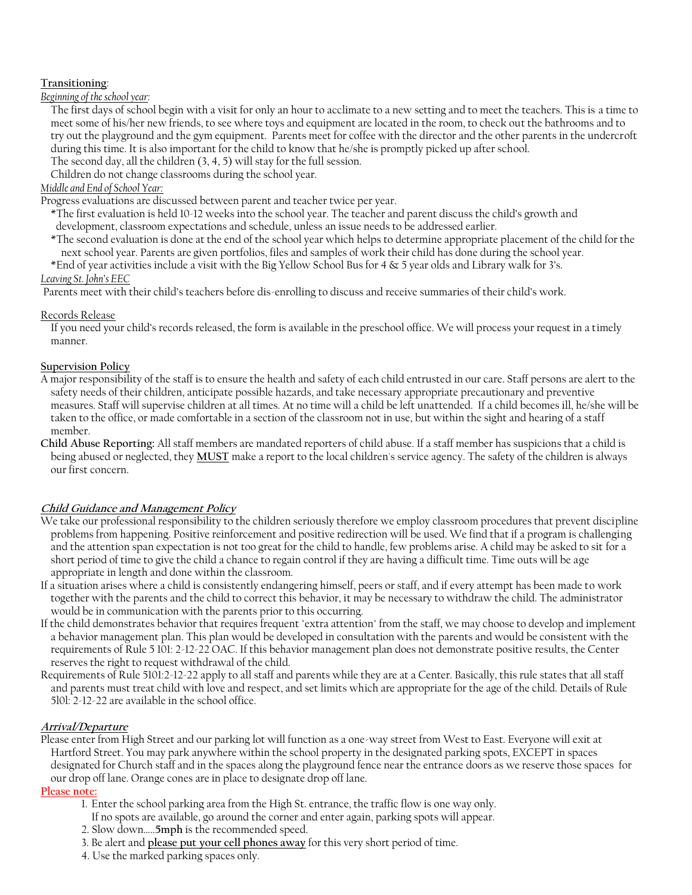## **Transitioning**:

*Beginning of the school year:*

The first days of school begin with a visit for only an hour to acclimate to a new setting and to meet the teachers. This is a time to meet some of his/her new friends, to see where toys and equipment are located in the room, to check out the bathrooms and to try out the playground and the gym equipment. Parents meet for coffee with the director and the other parents in the undercroft during this time. It is also important for the child to know that he/she is promptly picked up after school.

The second day, all the children (3, 4, 5) will stay for the full session.

Children do not change classrooms during the school year.

## *Middle and End of School Year:*

Progress evaluations are discussed between parent and teacher twice per year.

- \*The first evaluation is held 10-12 weeks into the school year. The teacher and parent discuss the child's growth and development, classroom expectations and schedule, unless an issue needs to be addressed earlier.
- \*The second evaluation is done at the end of the school year which helps to determine appropriate placement of the child for the next school year. Parents are given portfolios, files and samples of work their child has done during the school year.
- \*End of year activities include a visit with the Big Yellow School Bus for 4 & 5 year olds and Library walk for 3's. *Leaving St. John's EEC*

Parents meet with their child's teachers before dis-enrolling to discuss and receive summaries of their child's work.

#### Records Release

If you need your child's records released, the form is available in the preschool office. We will process your request in a timely manner.

#### **Supervision Policy**

- A major responsibility of the staff is to ensure the health and safety of each child entrusted in our care. Staff persons are alert to the safety needs of their children, anticipate possible hazards, and take necessary appropriate precautionary and preventive measures. Staff will supervise children at all times. At no time will a child be left unattended. If a child becomes ill, he/she will be taken to the office, or made comfortable in a section of the classroom not in use, but within the sight and hearing of a staff member.
- **Child Abuse Reporting:** All staff members are mandated reporters of child abuse. If a staff member has suspicions that a child is being abused or neglected, they **MUST** make a report to the local children's service agency. The safety of the children is always our first concern.

## **Child Guidance and Management Policy**

- We take our professional responsibility to the children seriously therefore we employ classroom procedures that prevent discipline problems from happening. Positive reinforcement and positive redirection will be used. We find that if a program is challenging and the attention span expectation is not too great for the child to handle, few problems arise. A child may be asked to sit for a short period of time to give the child a chance to regain control if they are having a difficult time. Time outs will be age appropriate in length and done within the classroom.
- If a situation arises where a child is consistently endangering himself, peers or staff, and if every attempt has been made to work together with the parents and the child to correct this behavior, it may be necessary to withdraw the child. The administrator would be in communication with the parents prior to this occurring.
- If the child demonstrates behavior that requires frequent "extra attention" from the staff, we may choose to develop and implement a behavior management plan. This plan would be developed in consultation with the parents and would be consistent with the requirements of Rule 5 101: 2-12-22 OAC. If this behavior management plan does not demonstrate positive results, the Center reserves the right to request withdrawal of the child.
- Requirements of Rule 5101:2-12-22 apply to all staff and parents while they are at a Center. Basically, this rule states that all staff and parents must treat child with love and respect, and set limits which are appropriate for the age of the child. Details of Rule 5l0l: 2-12-22 are available in the school office.

#### **Arrival/Departure**

Please enter from High Street and our parking lot will function as a one-way street from West to East. Everyone will exit at Hartford Street. You may park anywhere within the school property in the designated parking spots, EXCEPT in spaces designated for Church staff and in the spaces along the playground fence near the entrance doors as we reserve those spaces for our drop off lane. Orange cones are in place to designate drop off lane.

#### **Please note:**

- 1. Enter the school parking area from the High St. entrance, the traffic flow is one way only.
- If no spots are available, go around the corner and enter again, parking spots will appear.
- 2. Slow down…..**5mph** is the recommended speed.
- 3. Be alert and **please put your cell phones away** for this very short period of time.
- 4. Use the marked parking spaces only.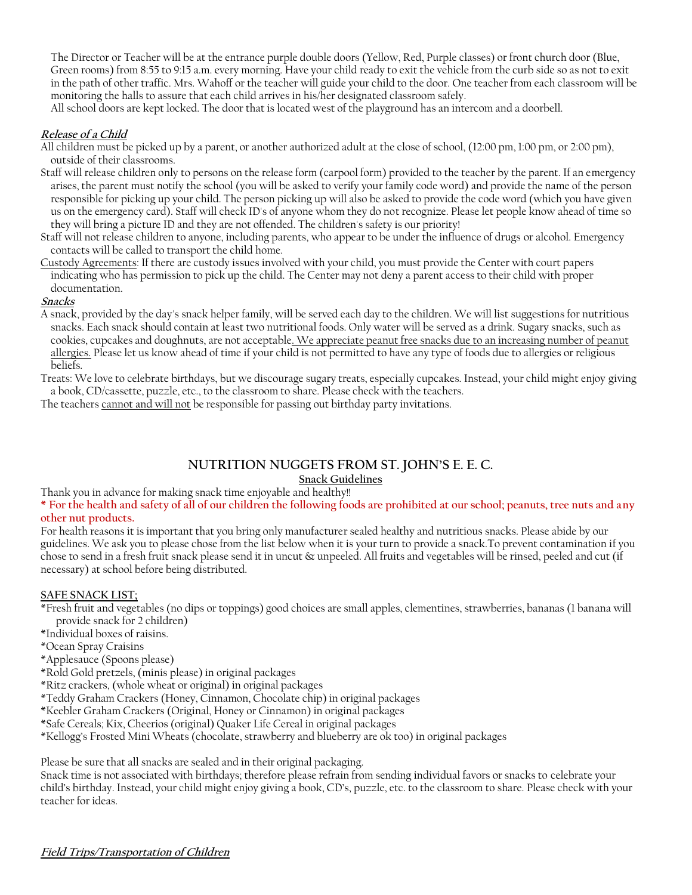The Director or Teacher will be at the entrance purple double doors (Yellow, Red, Purple classes) or front church door (Blue, Green rooms) from 8:55 to 9:15 a.m. every morning. Have your child ready to exit the vehicle from the curb side so as not to exit in the path of other traffic. Mrs. Wahoff or the teacher will guide your child to the door. One teacher from each classroom will be monitoring the halls to assure that each child arrives in his/her designated classroom safely.

All school doors are kept locked. The door that is located west of the playground has an intercom and a doorbell.

## **Release of a Child**

- All children must be picked up by a parent, or another authorized adult at the close of school, (12:00 pm, 1:00 pm, or 2:00 pm), outside of their classrooms.
- Staff will release children only to persons on the release form (carpool form) provided to the teacher by the parent. If an emergency arises, the parent must notify the school (you will be asked to verify your family code word) and provide the name of the person responsible for picking up your child. The person picking up will also be asked to provide the code word (which you have given us on the emergency card). Staff will check ID's of anyone whom they do not recognize. Please let people know ahead of time so they will bring a picture ID and they are not offended. The children's safety is our priority!
- Staff will not release children to anyone, including parents, who appear to be under the influence of drugs or alcohol. Emergency contacts will be called to transport the child home.
- Custody Agreements: If there are custody issues involved with your child, you must provide the Center with court papers indicating who has permission to pick up the child. The Center may not deny a parent access to their child with proper documentation.

#### **Snacks**

A snack, provided by the day's snack helper family, will be served each day to the children. We will list suggestions for nutritious snacks. Each snack should contain at least two nutritional foods. Only water will be served as a drink. Sugary snacks, such as cookies, cupcakes and doughnuts, are not acceptable<u>. We appreciate peanut free snacks due to an increasing number of peanut</u> allergies. Please let us know ahead of time if your child is not permitted to have any type of foods due to allergies or religious beliefs.

Treats: We love to celebrate birthdays, but we discourage sugary treats, especially cupcakes. Instead, your child might enjoy giving a book, CD/cassette, puzzle, etc., to the classroom to share. Please check with the teachers.

The teachers cannot and will not be responsible for passing out birthday party invitations.

## **NUTRITION NUGGETS FROM ST. JOHN'S E. E. C.**

## **Snack Guidelines**

Thank you in advance for making snack time enjoyable and healthy!!

**\* For the health and safety of all of our children the following foods are prohibited at our school; peanuts, tree nuts and any other nut products.**

# For health reasons it is important that you bring only manufacturer sealed healthy and nutritious snacks. Please abide by our

guidelines. We ask you to please chose from the list below when it is your turn to provide a snack.To prevent contamination if you chose to send in a fresh fruit snack please send it in uncut & unpeeled. All fruits and vegetables will be rinsed, peeled and cut (if necessary) at school before being distributed.

#### **SAFE SNACK LIST;**

- \*Fresh fruit and vegetables (no dips or toppings) good choices are small apples, clementines, strawberries, bananas (1 banana will provide snack for 2 children)
- \*Individual boxes of raisins.
- \*Ocean Spray Craisins

\*Applesauce (Spoons please)

- \*Rold Gold pretzels, (minis please) in original packages
- \*Ritz crackers, (whole wheat or original) in original packages
- \*Teddy Graham Crackers (Honey, Cinnamon, Chocolate chip) in original packages

\*Keebler Graham Crackers (Original, Honey or Cinnamon) in original packages

- \*Safe Cereals; Kix, Cheerios (original) Quaker Life Cereal in original packages
- \*Kellogg's Frosted Mini Wheats (chocolate, strawberry and blueberry are ok too) in original packages

Please be sure that all snacks are sealed and in their original packaging.

Snack time is not associated with birthdays; therefore please refrain from sending individual favors or snacks to celebrate your child's birthday. Instead, your child might enjoy giving a book, CD's, puzzle, etc. to the classroom to share. Please check with your teacher for ideas.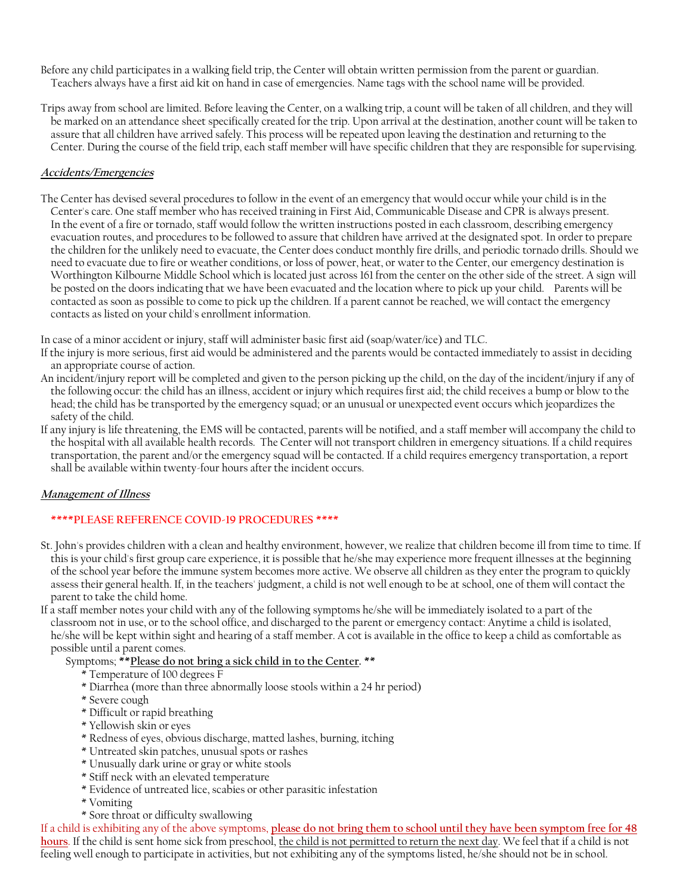Before any child participates in a walking field trip, the Center will obtain written permission from the parent or guardian. Teachers always have a first aid kit on hand in case of emergencies. Name tags with the school name will be provided.

Trips away from school are limited. Before leaving the Center, on a walking trip, a count will be taken of all children, and they will be marked on an attendance sheet specifically created for the trip. Upon arrival at the destination, another count will be taken to assure that all children have arrived safely. This process will be repeated upon leaving the destination and returning to the Center. During the course of the field trip, each staff member will have specific children that they are responsible for supervising.

#### **Accidents/Emergencies**

The Center has devised several procedures to follow in the event of an emergency that would occur while your child is in the Center's care. One staff member who has received training in First Aid, Communicable Disease and CPR is always present. In the event of a fire or tornado, staff would follow the written instructions posted in each classroom, describing emergency evacuation routes, and procedures to be followed to assure that children have arrived at the designated spot. In order to prepare the children for the unlikely need to evacuate, the Center does conduct monthly fire drills, and periodic tornado drills. Should we need to evacuate due to fire or weather conditions, or loss of power, heat, or water to the Center, our emergency destination is Worthington Kilbourne Middle School which is located just across 161 from the center on the other side of the street. A sign will be posted on the doors indicating that we have been evacuated and the location where to pick up your child. Parents will be contacted as soon as possible to come to pick up the children. If a parent cannot be reached, we will contact the emergency contacts as listed on your child's enrollment information.

In case of a minor accident or injury, staff will administer basic first aid (soap/water/ice) and TLC.

- If the injury is more serious, first aid would be administered and the parents would be contacted immediately to assist in deciding an appropriate course of action.
- An incident/injury report will be completed and given to the person picking up the child, on the day of the incident/injury if any of the following occur: the child has an illness, accident or injury which requires first aid; the child receives a bump or blow to the head; the child has be transported by the emergency squad; or an unusual or unexpected event occurs which jeopardizes the safety of the child.
- If any injury is life threatening, the EMS will be contacted, parents will be notified, and a staff member will accompany the child to the hospital with all available health records. The Center will not transport children in emergency situations. If a child requires transportation, the parent and/or the emergency squad will be contacted. If a child requires emergency transportation, a report shall be available within twenty-four hours after the incident occurs.

## **Management of Illness**

## **\*\*\*\*PLEASE REFERENCE COVID-19 PROCEDURES \*\*\*\***

- St. John's provides children with a clean and healthy environment, however, we realize that children become ill from time to time. If this is your child's first group care experience, it is possible that he/she may experience more frequent illnesses at the beginning of the school year before the immune system becomes more active. We observe all children as they enter the program to quickly assess their general health. If, in the teachers' judgment, a child is not well enough to be at school, one of them will contact the parent to take the child home.
- If a staff member notes your child with any of the following symptoms he/she will be immediately isolated to a part of the classroom not in use, or to the school office, and discharged to the parent or emergency contact: Anytime a child is isolated, he/she will be kept within sight and hearing of a staff member. A cot is available in the office to keep a child as comfortable as possible until a parent comes.
	- Symptoms; **\*\*Please do not bring a sick child in to the Center. \*\***
		- \* Temperature of 100 degrees F
		- \* Diarrhea (more than three abnormally loose stools within a 24 hr period)
		- \* Severe cough
		- \* Difficult or rapid breathing
		- \* Yellowish skin or eyes
		- \* Redness of eyes, obvious discharge, matted lashes, burning, itching
		- \* Untreated skin patches, unusual spots or rashes
		- \* Unusually dark urine or gray or white stools
		- \* Stiff neck with an elevated temperature
		- \* Evidence of untreated lice, scabies or other parasitic infestation
		- \* Vomiting
		- \* Sore throat or difficulty swallowing

If a child is exhibiting any of the above symptoms, **please do not bring them to school until they have been symptom free for 48 hours**. If the child is sent home sick from preschool, the child is not permitted to return the next day. We feel that if a child is not feeling well enough to participate in activities, but not exhibiting any of the symptoms listed, he/she should not be in school.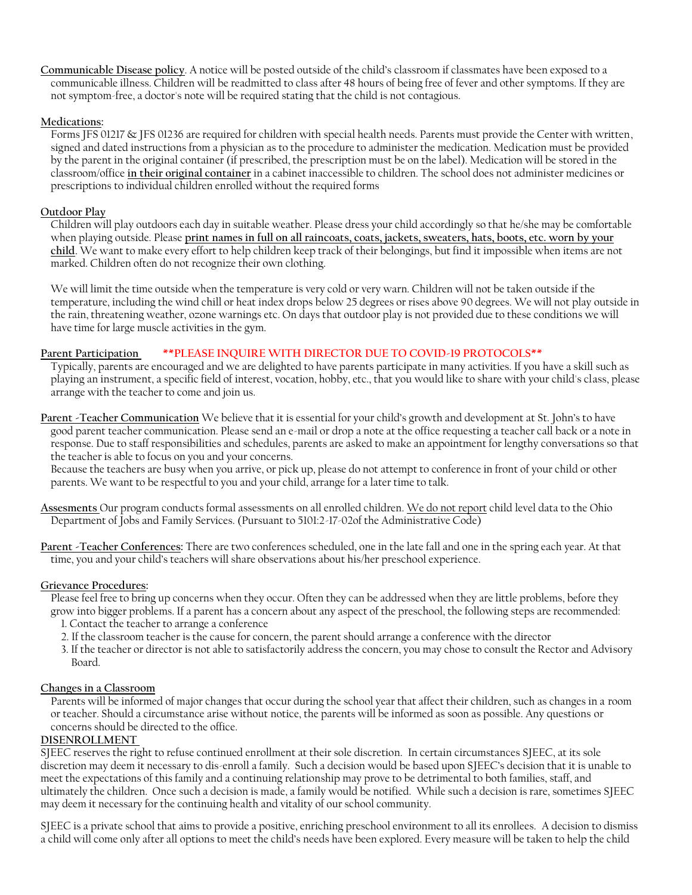**Communicable Disease policy**. A notice will be posted outside of the child's classroom if classmates have been exposed to a communicable illness. Children will be readmitted to class after 48 hours of being free of fever and other symptoms. If they are not symptom-free, a doctor's note will be required stating that the child is not contagious.

#### **Medications:**

Forms JFS 01217 & JFS 01236 are required for children with special health needs. Parents must provide the Center with written, signed and dated instructions from a physician as to the procedure to administer the medication. Medication must be provided by the parent in the original container (if prescribed, the prescription must be on the label). Medication will be stored in the classroom/office **in their original container** in a cabinet inaccessible to children. The school does not administer medicines or prescriptions to individual children enrolled without the required forms

#### **Outdoor Play**

Children will play outdoors each day in suitable weather. Please dress your child accordingly so that he/she may be comfortable when playing outside. Please **print names in full on all raincoats, coats, jackets, sweaters, hats, boots, etc. worn by your child**. We want to make every effort to help children keep track of their belongings, but find it impossible when items are not marked. Children often do not recognize their own clothing.

We will limit the time outside when the temperature is very cold or very warn. Children will not be taken outside if the temperature, including the wind chill or heat index drops below 25 degrees or rises above 90 degrees. We will not play outside in the rain, threatening weather, ozone warnings etc. On days that outdoor play is not provided due to these conditions we will have time for large muscle activities in the gym.

## **Parent Participation \*\*PLEASE INQUIRE WITH DIRECTOR DUE TO COVID-19 PROTOCOLS\*\***

Typically, parents are encouraged and we are delighted to have parents participate in many activities. If you have a skill such as playing an instrument, a specific field of interest, vocation, hobby, etc., that you would like to share with your child's class, please arrange with the teacher to come and join us.

**Parent -Teacher Communication** We believe that it is essential for your child's growth and development at St. John's to have good parent teacher communication. Please send an e-mail or drop a note at the office requesting a teacher call back or a note in response. Due to staff responsibilities and schedules, parents are asked to make an appointment for lengthy conversations so that the teacher is able to focus on you and your concerns.

Because the teachers are busy when you arrive, or pick up, please do not attempt to conference in front of your child or other parents. We want to be respectful to you and your child, arrange for a later time to talk.

**Assesments** Our program conducts formal assessments on all enrolled children. We do not report child level data to the Ohio Department of Jobs and Family Services. (Pursuant to 5101:2-17-02of the Administrative Code)

**Parent -Teacher Conferences:** There are two conferences scheduled, one in the late fall and one in the spring each year. At that time, you and your child's teachers will share observations about his/her preschool experience.

#### **Grievance Procedures:**

Please feel free to bring up concerns when they occur. Often they can be addressed when they are little problems, before they grow into bigger problems. If a parent has a concern about any aspect of the preschool, the following steps are recommended:

- 1. Contact the teacher to arrange a conference
- 2. If the classroom teacher is the cause for concern, the parent should arrange a conference with the director
- 3. If the teacher or director is not able to satisfactorily address the concern, you may chose to consult the Rector and Advisory Board.

#### **Changes in a Classroom**

Parents will be informed of major changes that occur during the school year that affect their children, such as changes in a room or teacher. Should a circumstance arise without notice, the parents will be informed as soon as possible. Any questions or concerns should be directed to the office.

#### **DISENROLLMENT**

SJEEC reserves the right to refuse continued enrollment at their sole discretion. In certain circumstances SJEEC, at its sole discretion may deem it necessary to dis-enroll a family. Such a decision would be based upon SJEEC's decision that it is unable to meet the expectations of this family and a continuing relationship may prove to be detrimental to both families, staff, and ultimately the children. Once such a decision is made, a family would be notified. While such a decision is rare, sometimes SJEEC may deem it necessary for the continuing health and vitality of our school community.

SJEEC is a private school that aims to provide a positive, enriching preschool environment to all its enrollees. A decision to dismiss a child will come only after all options to meet the child's needs have been explored. Every measure will be taken to help the child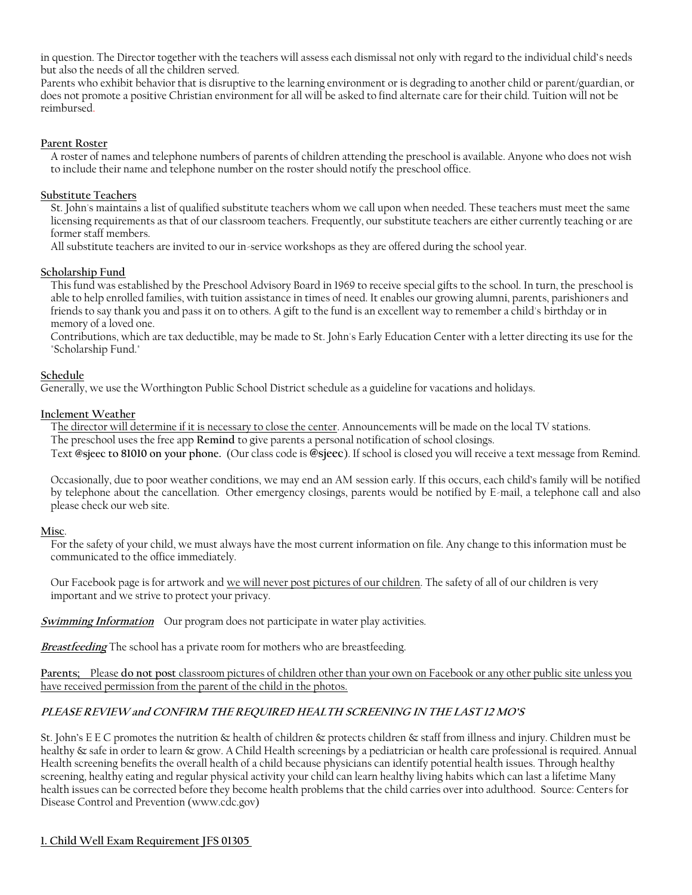in question. The Director together with the teachers will assess each dismissal not only with regard to the individual child's needs but also the needs of all the children served.

Parents who exhibit behavior that is disruptive to the learning environment or is degrading to another child or parent/guardian, or does not promote a positive Christian environment for all will be asked to find alternate care for their child. Tuition will not be reimbursed.

#### **Parent Roster**

A roster of names and telephone numbers of parents of children attending the preschool is available. Anyone who does not wish to include their name and telephone number on the roster should notify the preschool office.

#### **Substitute Teachers**

St. John's maintains a list of qualified substitute teachers whom we call upon when needed. These teachers must meet the same licensing requirements as that of our classroom teachers. Frequently, our substitute teachers are either currently teaching or are former staff members.

All substitute teachers are invited to our in-service workshops as they are offered during the school year.

#### **Scholarship Fund**

This fund was established by the Preschool Advisory Board in 1969 to receive special gifts to the school. In turn, the preschool is able to help enrolled families, with tuition assistance in times of need. It enables our growing alumni, parents, parishioners and friends to say thank you and pass it on to others. A gift to the fund is an excellent way to remember a child's birthday or in memory of a loved one.

Contributions, which are tax deductible, may be made to St. John's Early Education Center with a letter directing its use for the "Scholarship Fund."

#### **Schedule**

Generally, we use the Worthington Public School District schedule as a guideline for vacations and holidays.

#### **Inclement Weather**

The director will determine if it is necessary to close the center. Announcements will be made on the local TV stations. The preschool uses the free app **Remind** to give parents a personal notification of school closings. Text **@sjeec to 81010 on your phone.** (Our class code is **@sjeec**). If school is closed you will receive a text message from Remind.

Occasionally, due to poor weather conditions, we may end an AM session early. If this occurs, each child's family will be notified by telephone about the cancellation. Other emergency closings, parents would be notified by E-mail, a telephone call and also please check our web site.

## **Misc**.

For the safety of your child, we must always have the most current information on file. Any change to this information must be communicated to the office immediately.

Our Facebook page is for artwork and we will never post pictures of our children. The safety of all of our children is very important and we strive to protect your privacy.

**Swimming Information** Our program does not participate in water play activities.

**Breastfeeding** The school has a private room for mothers who are breastfeeding.

**Parents;** Please **do not post** classroom pictures of children other than your own on Facebook or any other public site unless you have received permission from the parent of the child in the photos.

## **PLEASE REVIEW and CONFIRM THE REQUIRED HEALTH SCREENING IN THE LAST 12 MO'S**

St. John's E E C promotes the nutrition & health of children & protects children & staff from illness and injury. Children must be healthy & safe in order to learn & grow. A Child Health screenings by a pediatrician or health care professional is required. Annual Health screening benefits the overall health of a child because physicians can identify potential health issues. Through healthy screening, healthy eating and regular physical activity your child can learn healthy living habits which can last a lifetime Many health issues can be corrected before they become health problems that the child carries over into adulthood. Source: Centers for Disease Control and Prevention (www.cdc.gov)

#### **1. Child Well Exam Requirement JFS 01305**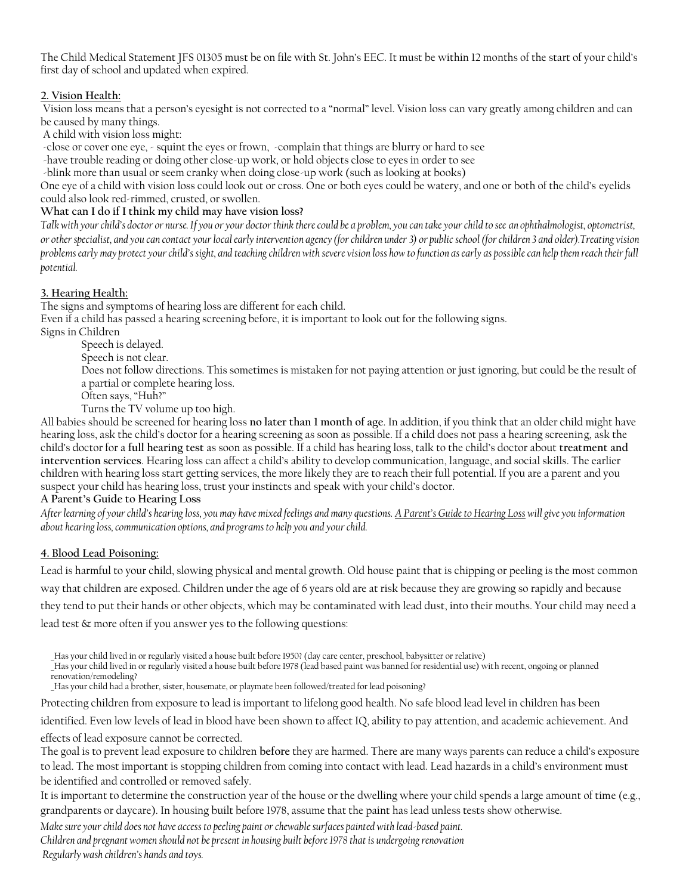The Child Medical Statement JFS 01305 must be on file with St. John's EEC. It must be within 12 months of the start of your child's first day of school and updated when expired.

## **2. Vision Health:**

Vision loss means that a person's eyesight is not corrected to a "normal" level. Vision loss can vary greatly among children and can be caused by many things.

A child with vision loss might:

-close or cover one eye, - squint the eyes or frown, -complain that things are blurry or hard to see

-have trouble reading or doing other close-up work, or hold objects close to eyes in order to see

-blink more than usual or seem cranky when doing close-up work (such as looking at books)

One eye of a child with vision loss could look out or cross. One or both eyes could be watery, and one or both of the child's eyelids could also look red-rimmed, crusted, or swollen.

## **What can I do if I think my child may have vision loss?**

Talk with your child's doctor or nurse. If you or your doctor think there could be a problem, you can take your child to see an ophthalmologist, optometrist, *or other specialist, and you can contact your local early intervention agency (for children under 3) or public school (for children 3 and older).Treating vision problems early may protect your child's sight, and teaching children with severe vision loss how to function as early as possible can help them reach their full potential.* 

## **3. Hearing Health:**

The signs and symptoms of hearing loss are different for each child.

Even if a child has passed a hearing screening before, it is important to look out for the following signs.

Signs in Children

Speech is delayed.

Speech is not clear.

Does not follow directions. This sometimes is mistaken for not paying attention or just ignoring, but could be the result of a partial or complete hearing loss.

Often says, "Huh?"

Turns the TV volume up too high.

All babies should be screened for hearing loss **no later than 1 month of age**. In addition, if you think that an older child might have hearing loss, ask the child's doctor for a hearing screening as soon as possible. If a child does not pass a hearing screening, ask the child's doctor for a **full hearing test** as soon as possible. If a child has hearing loss, talk to the child's doctor about **treatment and intervention services**. Hearing loss can affect a child's ability to develop communication, language, and social skills. The earlier children with hearing loss start getting services, the more likely they are to reach their full potential. If you are a parent and you suspect your child has hearing loss, trust your instincts and speak with your child's doctor.

## **A Parent's Guide to Hearing Loss**

*After learning of your child's hearing loss, you may have mixed feelings and many questions[. A Parent's Guide to Hearing Loss](http://www.cdc.gov/ncbddd/hearingloss/parentsguide/index.html) will give you information about hearing loss, communication options, and programs to help you and your child.*

## **4. Blood Lead Poisoning:**

Lead is harmful to your child, slowing physical and mental growth. Old house paint that is chipping or peeling is the most common way that children are exposed. Children under the age of 6 years old are at risk because they are growing so rapidly and because they tend to put their hands or other objects, which may be contaminated with lead dust, into their mouths. Your child may need a lead test & more often if you answer yes to the following questions:

\_Has your child lived in or regularly visited a house built before 1950? (day care center, preschool, babysitter or relative)

\_Has your child lived in or regularly visited a house built before 1978 (lead based paint was banned for residential use) with recent, ongoing or planned

renovation/remodeling?

Has your child had a brother, sister, housemate, or playmate been followed/treated for lead poisoning?

Protecting children from exposure to lead is important to lifelong good health. No safe blood lead level in children has been

identified. Even low levels of lead in blood have been shown to affect IQ, ability to pay attention, and academic achievement. And

effects of lead exposure cannot be corrected.

The goal is to prevent lead exposure to children **before** they are harmed. There are many ways parents can reduce a child's exposure to lead. The most important is stopping children from coming into contact with lead. Lead hazards in a child's environment must be identified and controlled or removed safely.

It is important to determine the construction year of the house or the dwelling where your child spends a large amount of time (e.g., grandparents or daycare). In housing built before 1978, assume that the paint has lead unless tests show otherwise.

*Make sure your child does not have access to peeling paint or chewable surfaces painted with lead-based paint.*

*Children and pregnant women should not be present in housing built before 1978 that is undergoing renovation Regularly wash children's hands and toys.*